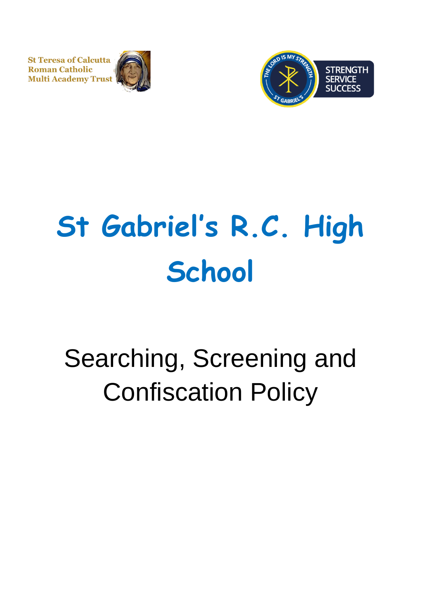**St Teresa of Calcutta Roman Catholic Multi Academy Trust** 





# **St Gabriel's R.C. High School**

## Searching, Screening and Confiscation Policy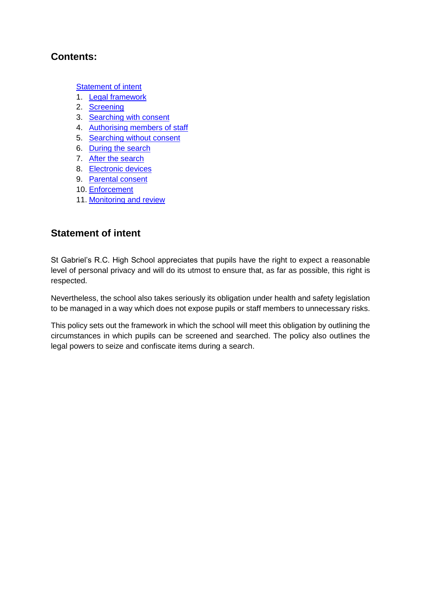#### **Contents:**

**[Statement of intent](#page-1-0)** 

- 1. [Legal framework](#page-2-0)
- 2. [Screening](#page-2-1)
- 3. [Searching with consent](#page-3-0)
- 4. [Authorising members of staff](#page-3-1)
- 5. [Searching without consent](#page-3-2)
- 6. [During the search](#page-4-0)
- 7. [After the search](#page-5-0)
- 8. [Electronic devices](#page-6-0)
- 9. [Parental consent](#page-7-0)
- 10. [Enforcement](#page-7-1)
- 11. [Monitoring and review](#page-7-2)

#### <span id="page-1-0"></span>**Statement of intent**

St Gabriel's R.C. High School appreciates that pupils have the right to expect a reasonable level of personal privacy and will do its utmost to ensure that, as far as possible, this right is respected.

Nevertheless, the school also takes seriously its obligation under health and safety legislation to be managed in a way which does not expose pupils or staff members to unnecessary risks.

This policy sets out the framework in which the school will meet this obligation by outlining the circumstances in which pupils can be screened and searched. The policy also outlines the legal powers to seize and confiscate items during a search.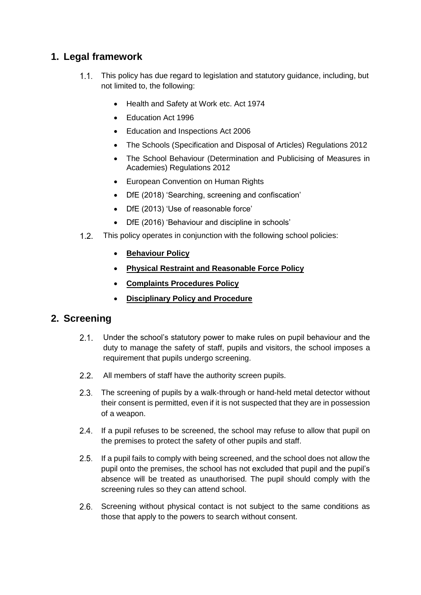### <span id="page-2-0"></span>**1. Legal framework**

- This policy has due regard to legislation and statutory guidance, including, but not limited to, the following:
	- Health and Safety at Work etc. Act 1974
	- Fducation Act 1996
	- Education and Inspections Act 2006
	- The Schools (Specification and Disposal of Articles) Regulations 2012
	- The School Behaviour (Determination and Publicising of Measures in Academies) Regulations 2012
	- European Convention on Human Rights
	- DfE (2018) 'Searching, screening and confiscation'
	- DfE (2013) 'Use of reasonable force'
	- DfE (2016) 'Behaviour and discipline in schools'
- $1.2.$ This policy operates in conjunction with the following school policies:
	- **Behaviour Policy**
	- **Physical Restraint and Reasonable Force Policy**
	- **Complaints Procedures Policy**
	- **Disciplinary Policy and Procedure**

#### <span id="page-2-1"></span>**2. Screening**

- $2.1.$ Under the school's statutory power to make rules on pupil behaviour and the duty to manage the safety of staff, pupils and visitors, the school imposes a requirement that pupils undergo screening.
- 2.2. All members of staff have the authority screen pupils.
- $2.3.$ The screening of pupils by a walk-through or hand-held metal detector without their consent is permitted, even if it is not suspected that they are in possession of a weapon.
- 2.4. If a pupil refuses to be screened, the school may refuse to allow that pupil on the premises to protect the safety of other pupils and staff.
- $2.5.$ If a pupil fails to comply with being screened, and the school does not allow the pupil onto the premises, the school has not excluded that pupil and the pupil's absence will be treated as unauthorised. The pupil should comply with the screening rules so they can attend school.
- 2.6. Screening without physical contact is not subject to the same conditions as those that apply to the powers to search without consent.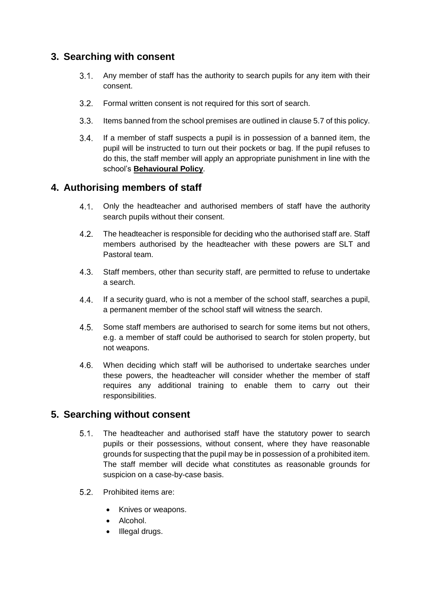#### <span id="page-3-0"></span>**3. Searching with consent**

- $31<sup>1</sup>$ Any member of staff has the authority to search pupils for any item with their consent.
- $3.2.$ Formal written consent is not required for this sort of search.
- $3.3.$ Items banned from the school premises are outlined in clause 5.7 of this policy.
- $3.4.$ If a member of staff suspects a pupil is in possession of a banned item, the pupil will be instructed to turn out their pockets or bag. If the pupil refuses to do this, the staff member will apply an appropriate punishment in line with the school's **Behavioural Policy**.

#### <span id="page-3-1"></span>**4. Authorising members of staff**

- $4.1.$ Only the headteacher and authorised members of staff have the authority search pupils without their consent.
- $4.2.$ The headteacher is responsible for deciding who the authorised staff are. Staff members authorised by the headteacher with these powers are SLT and Pastoral team.
- $4.3.$ Staff members, other than security staff, are permitted to refuse to undertake a search.
- If a security guard, who is not a member of the school staff, searches a pupil,  $4.4.$ a permanent member of the school staff will witness the search.
- $4.5.$ Some staff members are authorised to search for some items but not others, e.g. a member of staff could be authorised to search for stolen property, but not weapons.
- When deciding which staff will be authorised to undertake searches under  $4.6.$ these powers, the headteacher will consider whether the member of staff requires any additional training to enable them to carry out their responsibilities.

#### <span id="page-3-2"></span>**5. Searching without consent**

- $5.1.$ The headteacher and authorised staff have the statutory power to search pupils or their possessions, without consent, where they have reasonable grounds for suspecting that the pupil may be in possession of a prohibited item. The staff member will decide what constitutes as reasonable grounds for suspicion on a case-by-case basis.
- $5.2$ Prohibited items are:
	- Knives or weapons.
	- Alcohol.
	- Illegal drugs.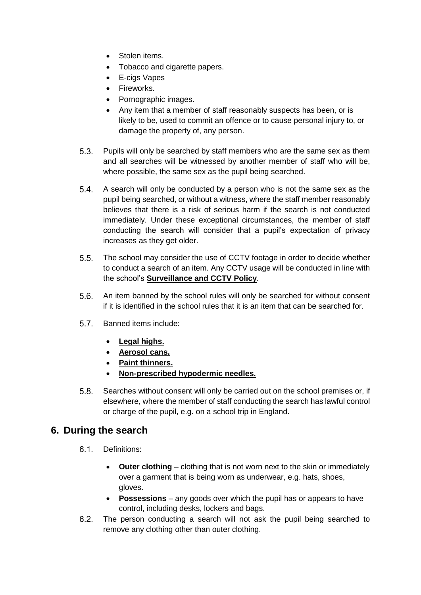- Stolen items.
- Tobacco and cigarette papers.
- E-cigs Vapes
- Fireworks.
- Pornographic images.
- Any item that a member of staff reasonably suspects has been, or is likely to be, used to commit an offence or to cause personal injury to, or damage the property of, any person.
- $5.3.$ Pupils will only be searched by staff members who are the same sex as them and all searches will be witnessed by another member of staff who will be, where possible, the same sex as the pupil being searched.
- $5.4.$ A search will only be conducted by a person who is not the same sex as the pupil being searched, or without a witness, where the staff member reasonably believes that there is a risk of serious harm if the search is not conducted immediately. Under these exceptional circumstances, the member of staff conducting the search will consider that a pupil's expectation of privacy increases as they get older.
- $5.5.$ The school may consider the use of CCTV footage in order to decide whether to conduct a search of an item. Any CCTV usage will be conducted in line with the school's **Surveillance and CCTV Policy**.
- An item banned by the school rules will only be searched for without consent  $5.6$ if it is identified in the school rules that it is an item that can be searched for.
- $5.7$ Banned items include:
	- **Legal highs.**
	- **Aerosol cans.**
	- **Paint thinners.**
	- **Non-prescribed hypodermic needles.**
- $5.8.$ Searches without consent will only be carried out on the school premises or, if elsewhere, where the member of staff conducting the search has lawful control or charge of the pupil, e.g. on a school trip in England.

#### <span id="page-4-0"></span>**6. During the search**

- 61 Definitions:
	- **Outer clothing**  clothing that is not worn next to the skin or immediately over a garment that is being worn as underwear, e.g. hats, shoes, gloves.
	- **Possessions**  any goods over which the pupil has or appears to have control, including desks, lockers and bags.
- $6.2.$ The person conducting a search will not ask the pupil being searched to remove any clothing other than outer clothing.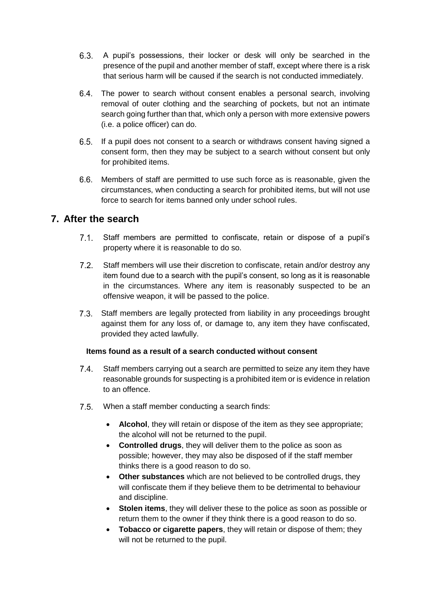- $6.3.$ A pupil's possessions, their locker or desk will only be searched in the presence of the pupil and another member of staff, except where there is a risk that serious harm will be caused if the search is not conducted immediately.
- The power to search without consent enables a personal search, involving removal of outer clothing and the searching of pockets, but not an intimate search going further than that, which only a person with more extensive powers (i.e. a police officer) can do.
- 6.5. If a pupil does not consent to a search or withdraws consent having signed a consent form, then they may be subject to a search without consent but only for prohibited items.
- Members of staff are permitted to use such force as is reasonable, given the circumstances, when conducting a search for prohibited items, but will not use force to search for items banned only under school rules.

#### <span id="page-5-0"></span>**7. After the search**

- $7.1$ Staff members are permitted to confiscate, retain or dispose of a pupil's property where it is reasonable to do so.
- $7.2.$ Staff members will use their discretion to confiscate, retain and/or destroy any item found due to a search with the pupil's consent, so long as it is reasonable in the circumstances. Where any item is reasonably suspected to be an offensive weapon, it will be passed to the police.
- Staff members are legally protected from liability in any proceedings brought against them for any loss of, or damage to, any item they have confiscated, provided they acted lawfully.

#### **Items found as a result of a search conducted without consent**

- $7.4$ Staff members carrying out a search are permitted to seize any item they have reasonable grounds for suspecting is a prohibited item or is evidence in relation to an offence.
- $7.5$ When a staff member conducting a search finds:
	- **Alcohol**, they will retain or dispose of the item as they see appropriate; the alcohol will not be returned to the pupil.
	- **Controlled drugs**, they will deliver them to the police as soon as possible; however, they may also be disposed of if the staff member thinks there is a good reason to do so.
	- **Other substances** which are not believed to be controlled drugs, they will confiscate them if they believe them to be detrimental to behaviour and discipline.
	- **Stolen items**, they will deliver these to the police as soon as possible or return them to the owner if they think there is a good reason to do so.
	- **Tobacco or cigarette papers**, they will retain or dispose of them; they will not be returned to the pupil.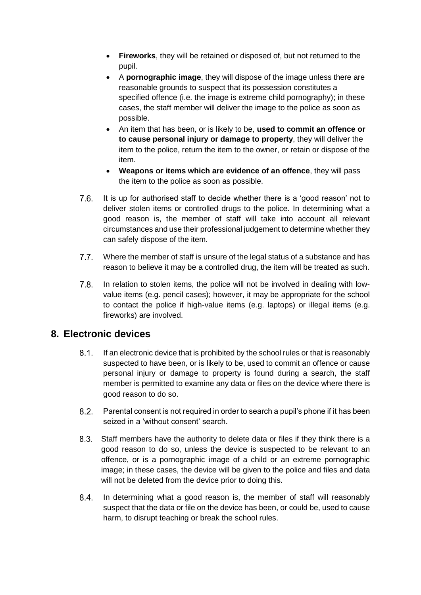- **Fireworks**, they will be retained or disposed of, but not returned to the pupil.
- A **pornographic image**, they will dispose of the image unless there are reasonable grounds to suspect that its possession constitutes a specified offence (i.e. the image is extreme child pornography); in these cases, the staff member will deliver the image to the police as soon as possible.
- An item that has been, or is likely to be, **used to commit an offence or to cause personal injury or damage to property**, they will deliver the item to the police, return the item to the owner, or retain or dispose of the item.
- **Weapons or items which are evidence of an offence**, they will pass the item to the police as soon as possible.
- $7.6.$ It is up for authorised staff to decide whether there is a 'good reason' not to deliver stolen items or controlled drugs to the police. In determining what a good reason is, the member of staff will take into account all relevant circumstances and use their professional judgement to determine whether they can safely dispose of the item.
- $7.7$ Where the member of staff is unsure of the legal status of a substance and has reason to believe it may be a controlled drug, the item will be treated as such.
- $7.8.$ In relation to stolen items, the police will not be involved in dealing with lowvalue items (e.g. pencil cases); however, it may be appropriate for the school to contact the police if high-value items (e.g. laptops) or illegal items (e.g. fireworks) are involved.

#### <span id="page-6-0"></span>**8. Electronic devices**

- $8.1.$ If an electronic device that is prohibited by the school rules or that is reasonably suspected to have been, or is likely to be, used to commit an offence or cause personal injury or damage to property is found during a search, the staff member is permitted to examine any data or files on the device where there is good reason to do so.
- $8.2$ Parental consent is not required in order to search a pupil's phone if it has been seized in a 'without consent' search.
- Staff members have the authority to delete data or files if they think there is a good reason to do so, unless the device is suspected to be relevant to an offence, or is a pornographic image of a child or an extreme pornographic image; in these cases, the device will be given to the police and files and data will not be deleted from the device prior to doing this.
- $8.4.$ In determining what a good reason is, the member of staff will reasonably suspect that the data or file on the device has been, or could be, used to cause harm, to disrupt teaching or break the school rules.